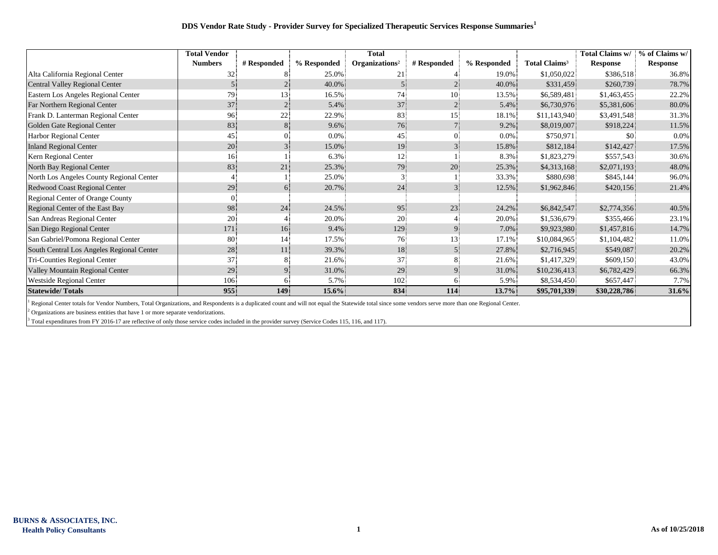## **DDS Vendor Rate Study - Provider Survey for Specialized Therapeutic Services Response Summaries<sup>1</sup>**

|                                           | <b>Total Vendor</b> |                 |             | <b>Total</b>               |                |             |                                 | Total Claims w/ | % of Claims w/ |
|-------------------------------------------|---------------------|-----------------|-------------|----------------------------|----------------|-------------|---------------------------------|-----------------|----------------|
|                                           | <b>Numbers</b>      | # Responded     | % Responded | Organizations <sup>2</sup> | # Responded    | % Responded | <b>Total Claims<sup>3</sup></b> | <b>Response</b> | Response       |
| Alta California Regional Center           |                     |                 | 25.0%       | 21                         |                | 19.0%       | \$1,050,022                     | \$386,518       | 36.8%          |
| Central Valley Regional Center            |                     |                 | 40.0%       |                            |                | 40.0%       | \$331,459                       | \$260,739       | 78.7%          |
| Eastern Los Angeles Regional Center       | 79.                 | 13.             | 16.5%       | 74                         | 10             | 13.5%       | \$6,589,481                     | \$1,463,455     | 22.2%          |
| Far Northern Regional Center              | 37                  |                 | 5.4%        | 37                         | $\overline{2}$ | 5.4%        | \$6,730,976                     | \$5,381,606     | 80.0%          |
| Frank D. Lanterman Regional Center        | 96                  | 22              | 22.9%       | 83                         | 15             | 18.1%       | \$11,143,940                    | \$3,491,548     | 31.3%          |
| Golden Gate Regional Center               | 83                  | 8.              | 9.6%        | 76                         |                | 9.2%        | \$8,019,007                     | \$918,224       | 11.5%          |
| Harbor Regional Center                    | 45                  | 0.              | 0.0%        | 45                         |                | $0.0\%$     | \$750,971                       | \$0             | 0.0%           |
| <b>Inland Regional Center</b>             | 20                  |                 | 15.0%       | 19                         | 3.             | 15.8%       | \$812,184                       | \$142,427       | 17.5%          |
| Kern Regional Center                      | 16 <sup>1</sup>     |                 | 6.3%        | 12                         |                | 8.3%        | \$1,823,279                     | \$557,543       | 30.6%          |
| North Bay Regional Center                 | 83                  | 21              | 25.3%       | 79                         | 20             | 25.3%       | \$4,313,168                     | \$2,071,193     | 48.0%          |
| North Los Angeles County Regional Center  |                     |                 | 25.0%       |                            |                | 33.3%       | \$880,698                       | \$845,144       | 96.0%          |
| Redwood Coast Regional Center             | 29.                 | 6.              | 20.7%       | 24                         | 3.             | 12.5%       | \$1,962,846                     | \$420,156       | 21.4%          |
| Regional Center of Orange County          |                     |                 |             |                            |                |             |                                 |                 |                |
| Regional Center of the East Bay           | 98                  | 24              | 24.5%       | 95                         | 23             | 24.2%       | \$6,842,547                     | \$2,774,356     | 40.5%          |
| San Andreas Regional Center               | 20                  |                 | 20.0%       | 20                         |                | 20.0%       | \$1,536,679                     | \$355,466       | 23.1%          |
| San Diego Regional Center                 | 171                 | 16 <sup>1</sup> | 9.4%        | 129.                       |                | 7.0%        | \$9,923,980                     | \$1,457,816     | 14.7%          |
| San Gabriel/Pomona Regional Center        | 80                  | 14.             | 17.5%       | 76                         | 13.            | 17.1%       | \$10,084,965                    | \$1,104,482     | 11.0%          |
| South Central Los Angeles Regional Center | 28                  | 11              | 39.3%       | 18                         | $5^{\circ}$    | 27.8%       | \$2,716,945                     | \$549,087       | 20.2%          |
| Tri-Counties Regional Center              | 37                  |                 | 21.6%       | 37                         |                | 21.6%       | \$1,417,329                     | \$609,150       | 43.0%          |
| Valley Mountain Regional Center           | 29                  |                 | 31.0%       | 29                         |                | 31.0%       | \$10,236,413                    | \$6,782,429     | 66.3%          |
| Westside Regional Center                  | 106                 | h.              | 5.7%        | 102                        |                | 5.9%        | \$8,534,450                     | \$657,447       | 7.7%           |
| <b>Statewide/Totals</b>                   | 955                 | 149             | $15.6\%$    | 834                        | 114            | 13.7%       | \$95,701,339                    | \$30,228,786    | 31.6%          |

<sup>1</sup> Regional Center totals for Vendor Numbers, Total Organizations, and Respondents is a duplicated count and will not equal the Statewide total since some vendors serve more than one Regional Center.

 $2$  Organizations are business entities that have 1 or more separate vendorizations.

 $3$  Total expenditures from FY 2016-17 are reflective of only those service codes included in the provider survey (Service Codes 115, 116, and 117).